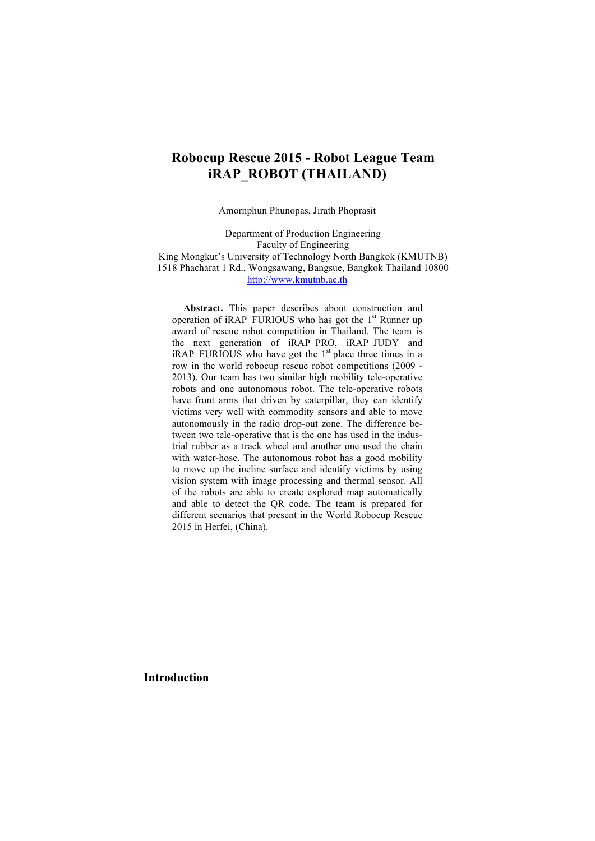# **Robocup Rescue 2015 - Robot League Team iRAP\_ROBOT (THAILAND)**

Amornphun Phunopas, Jirath Phoprasit

Department of Production Engineering Faculty of Engineering King Mongkut's University of Technology North Bangkok (KMUTNB) 1518 Phacharat 1 Rd., Wongsawang, Bangsue, Bangkok Thailand 10800 http://www.kmutnb.ac.th

**Abstract.** This paper describes about construction and operation of iRAP\_FURIOUS who has got the  $1<sup>st</sup>$  Runner up award of rescue robot competition in Thailand. The team is the next generation of iRAP\_PRO, iRAP\_JUDY and  $iRAP$ <sub>-FURIOUS</sub> who have got the 1<sup>st</sup> place three times in a row in the world robocup rescue robot competitions (2009 - 2013). Our team has two similar high mobility tele-operative robots and one autonomous robot. The tele-operative robots have front arms that driven by caterpillar, they can identify victims very well with commodity sensors and able to move autonomously in the radio drop-out zone. The difference between two tele-operative that is the one has used in the industrial rubber as a track wheel and another one used the chain with water-hose. The autonomous robot has a good mobility to move up the incline surface and identify victims by using vision system with image processing and thermal sensor. All of the robots are able to create explored map automatically and able to detect the QR code. The team is prepared for different scenarios that present in the World Robocup Rescue 2015 in Herfei, (China).

**Introduction**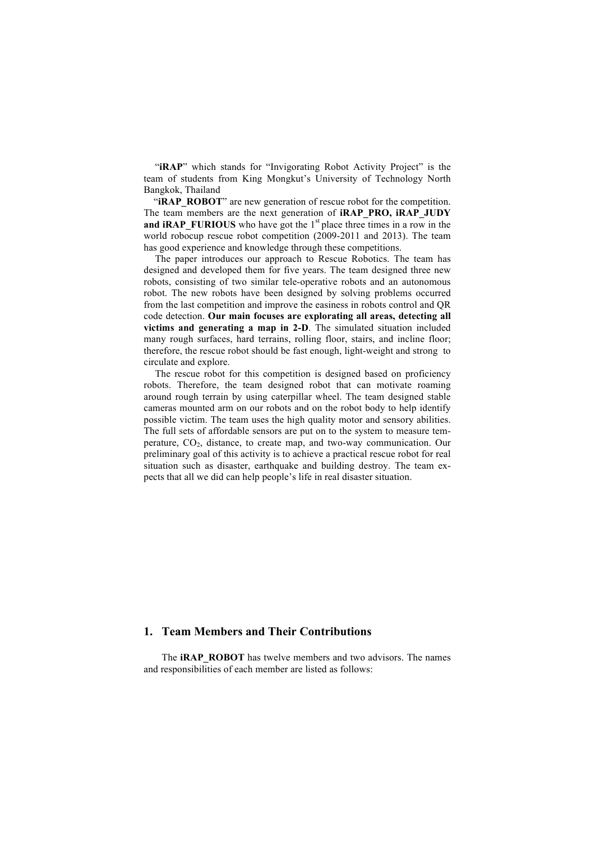"**iRAP**" which stands for "Invigorating Robot Activity Project" is the team of students from King Mongkut's University of Technology North Bangkok, Thailand

"**iRAP\_ROBOT**" are new generation of rescue robot for the competition. The team members are the next generation of **iRAP\_PRO, iRAP\_JUDY** and **iRAP\_FURIOUS** who have got the 1<sup>st</sup> place three times in a row in the world robocup rescue robot competition (2009-2011 and 2013). The team has good experience and knowledge through these competitions.

The paper introduces our approach to Rescue Robotics. The team has designed and developed them for five years. The team designed three new robots, consisting of two similar tele-operative robots and an autonomous robot. The new robots have been designed by solving problems occurred from the last competition and improve the easiness in robots control and QR code detection. **Our main focuses are explorating all areas, detecting all victims and generating a map in 2-D**. The simulated situation included many rough surfaces, hard terrains, rolling floor, stairs, and incline floor; therefore, the rescue robot should be fast enough, light-weight and strong to circulate and explore.

The rescue robot for this competition is designed based on proficiency robots. Therefore, the team designed robot that can motivate roaming around rough terrain by using caterpillar wheel. The team designed stable cameras mounted arm on our robots and on the robot body to help identify possible victim. The team uses the high quality motor and sensory abilities. The full sets of affordable sensors are put on to the system to measure temperature,  $CO<sub>2</sub>$ , distance, to create map, and two-way communication. Our preliminary goal of this activity is to achieve a practical rescue robot for real situation such as disaster, earthquake and building destroy. The team expects that all we did can help people's life in real disaster situation.

#### **1. Team Members and Their Contributions**

The **iRAP\_ROBOT** has twelve members and two advisors. The names and responsibilities of each member are listed as follows: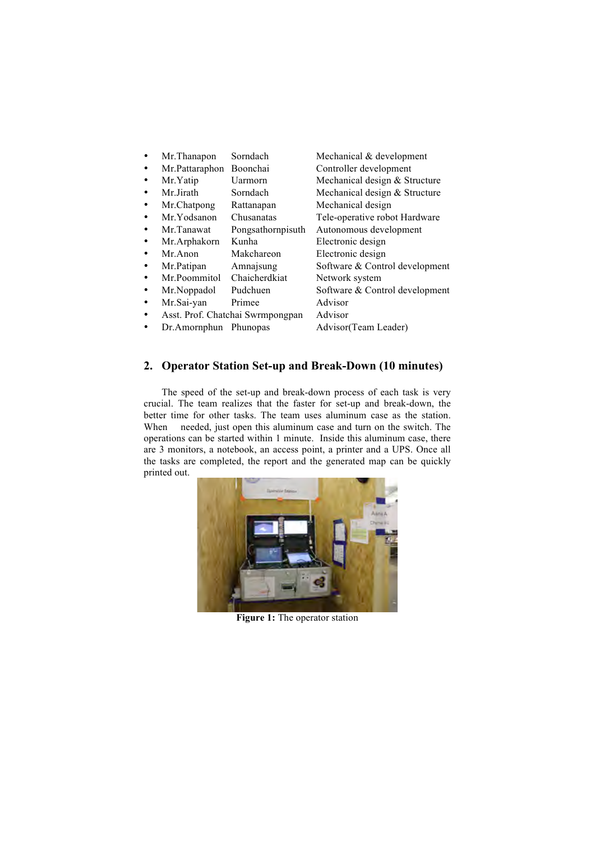- Mr.Thanapon Sorndach Mechanical & development
- Mr.Pattaraphon Boonchai Controller development<br>Mr.Yatip Uarmorn Mechanical design & St Mechanical design  $&$  Structure
- Mr.Jirath Sorndach Mechanical design & Structure
- 
- Mr.Chatpong Rattanapan Mechanical design<br>Mr.Yodsanon Chusanatas Tele-operative robe
- Mr.Tanawat Pongsathornpisuth Autonomous development
- 
- Mr.Arphakorn Kunha Electronic design
- 
- Mr.Patipan Amnajsung Software & Control development<br>Mr.Poommitol Chaicherdkiat Network system Mr.Poommitol Chaicherdkiat Network system
- Mr.Noppadol Pudchuen Software & Control development
- - Mr.Sai-yan Primee Advisor
- Asst. Prof. Chatchai Swrmpongpan Advisor
- Dr.Amornphun Phunopas Advisor(Team Leader)
- 

Electronic design

Tele-operative robot Hardware

## **2. Operator Station Set-up and Break-Down (10 minutes)**

The speed of the set-up and break-down process of each task is very crucial. The team realizes that the faster for set-up and break-down, the better time for other tasks. The team uses aluminum case as the station. When needed, just open this aluminum case and turn on the switch. The operations can be started within 1 minute. Inside this aluminum case, there are 3 monitors, a notebook, an access point, a printer and a UPS. Once all the tasks are completed, the report and the generated map can be quickly printed out.



**Figure 1:** The operator station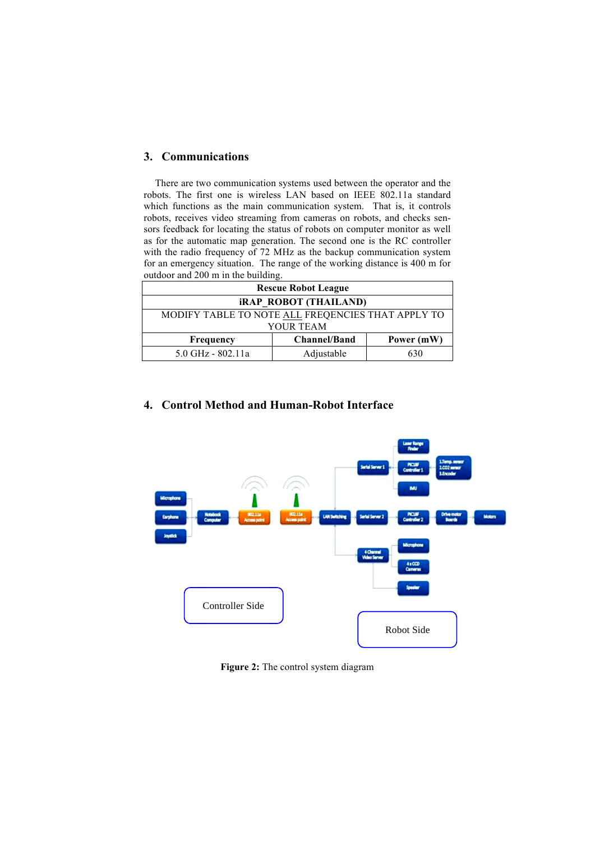#### **3. Communications**

There are two communication systems used between the operator and the robots. The first one is wireless LAN based on IEEE 802.11a standard which functions as the main communication system. That is, it controls robots, receives video streaming from cameras on robots, and checks sensors feedback for locating the status of robots on computer monitor as well as for the automatic map generation. The second one is the RC controller with the radio frequency of 72 MHz as the backup communication system for an emergency situation. The range of the working distance is 400 m for outdoor and 200 m in the building.

| <b>Rescue Robot League</b>                        |                     |            |  |  |
|---------------------------------------------------|---------------------|------------|--|--|
| <b>iRAP ROBOT (THAILAND)</b>                      |                     |            |  |  |
| MODIFY TABLE TO NOTE ALL FREQENCIES THAT APPLY TO |                     |            |  |  |
| YOUR TEAM                                         |                     |            |  |  |
| <b>Frequency</b>                                  | <b>Channel/Band</b> | Power (mW) |  |  |
| 5.0 GHz - 802.11a                                 | Adjustable          | 630        |  |  |

## **4. Control Method and Human-Robot Interface**



**Figure 2:** The control system diagram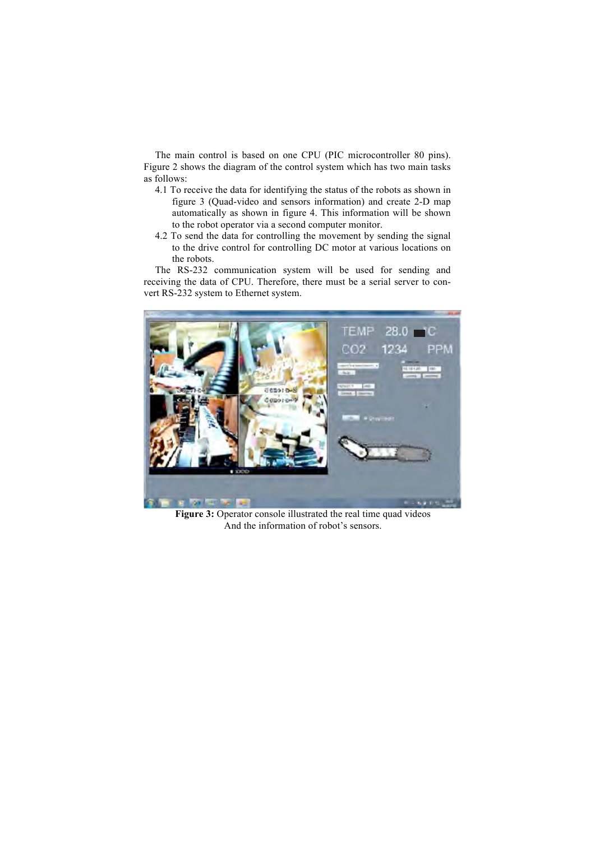The main control is based on one CPU (PIC microcontroller 80 pins). Figure 2 shows the diagram of the control system which has two main tasks as follows:

- 4.1 To receive the data for identifying the status of the robots as shown in figure 3 (Quad-video and sensors information) and create 2-D map automatically as shown in figure 4. This information will be shown to the robot operator via a second computer monitor.
- 4.2 To send the data for controlling the movement by sending the signal to the drive control for controlling DC motor at various locations on the robots.

The RS-232 communication system will be used for sending and receiving the data of CPU. Therefore, there must be a serial server to convert RS-232 system to Ethernet system.



**Figure 3:** Operator console illustrated the real time quad videos And the information of robot's sensors.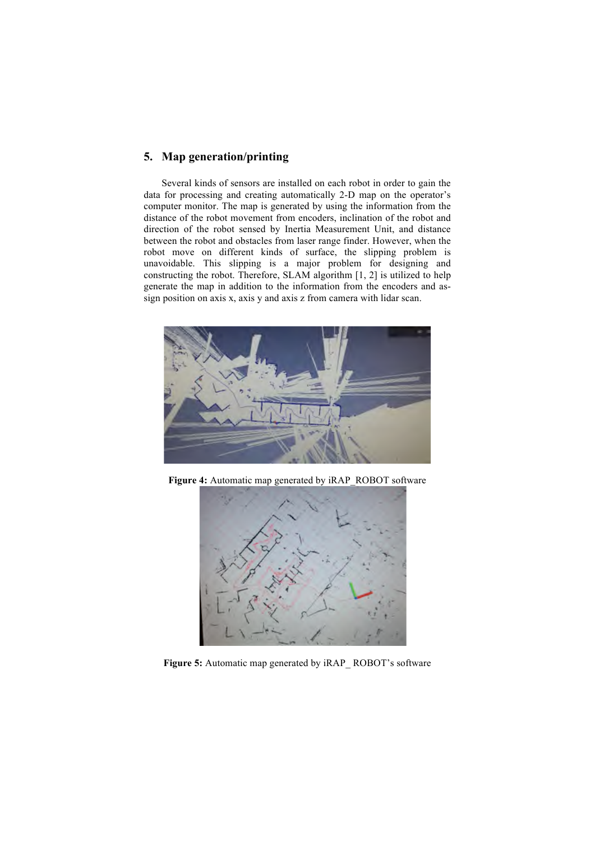#### **5. Map generation/printing**

Several kinds of sensors are installed on each robot in order to gain the data for processing and creating automatically 2-D map on the operator's computer monitor. The map is generated by using the information from the distance of the robot movement from encoders, inclination of the robot and direction of the robot sensed by Inertia Measurement Unit, and distance between the robot and obstacles from laser range finder. However, when the robot move on different kinds of surface, the slipping problem is unavoidable. This slipping is a major problem for designing and constructing the robot. Therefore, SLAM algorithm [1, 2] is utilized to help generate the map in addition to the information from the encoders and assign position on axis x, axis y and axis z from camera with lidar scan.



**Figure 4:** Automatic map generated by iRAP\_ROBOT software



Figure 5: Automatic map generated by iRAP\_ROBOT's software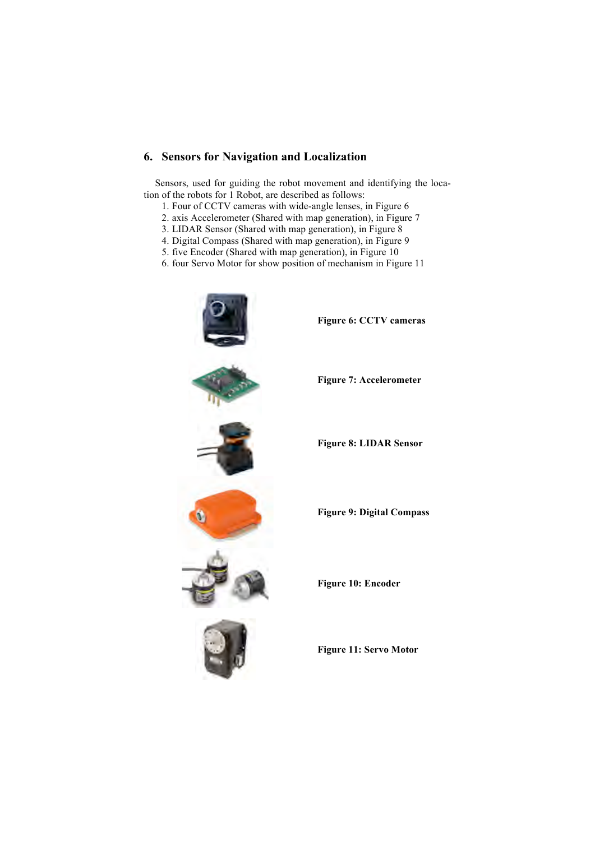#### **6. Sensors for Navigation and Localization**

Sensors, used for guiding the robot movement and identifying the location of the robots for 1 Robot, are described as follows:

- 1. Four of CCTV cameras with wide-angle lenses, in Figure 6
- 2. axis Accelerometer (Shared with map generation), in Figure 7
- 3. LIDAR Sensor (Shared with map generation), in Figure 8
- 4. Digital Compass (Shared with map generation), in Figure 9
- 5. five Encoder (Shared with map generation), in Figure 10
- 6. four Servo Motor for show position of mechanism in Figure 11



**Figure 8: LIDAR Sensor**

**Figure 11: Servo Motor**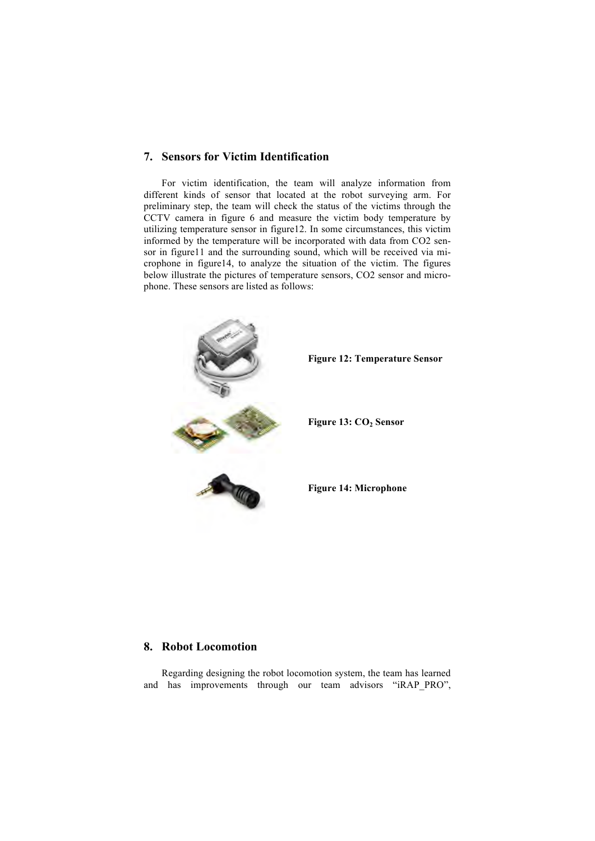#### **7. Sensors for Victim Identification**

For victim identification, the team will analyze information from different kinds of sensor that located at the robot surveying arm. For preliminary step, the team will check the status of the victims through the CCTV camera in figure 6 and measure the victim body temperature by utilizing temperature sensor in figure12. In some circumstances, this victim informed by the temperature will be incorporated with data from CO2 sensor in figure11 and the surrounding sound, which will be received via microphone in figure14, to analyze the situation of the victim. The figures below illustrate the pictures of temperature sensors, CO2 sensor and microphone. These sensors are listed as follows:



#### **8. Robot Locomotion**

Regarding designing the robot locomotion system, the team has learned and has improvements through our team advisors "iRAP\_PRO",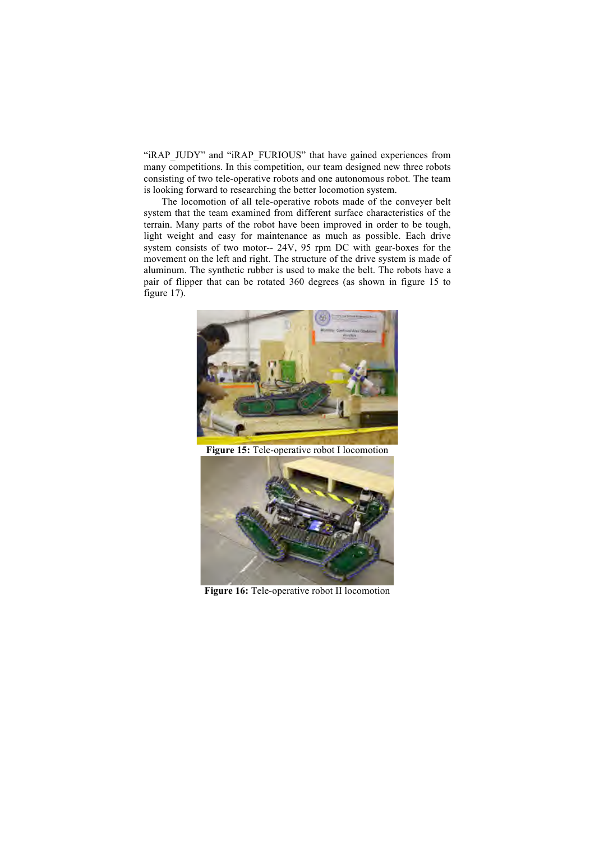"iRAP\_JUDY" and "iRAP\_FURIOUS" that have gained experiences from many competitions. In this competition, our team designed new three robots consisting of two tele-operative robots and one autonomous robot. The team is looking forward to researching the better locomotion system.

The locomotion of all tele-operative robots made of the conveyer belt system that the team examined from different surface characteristics of the terrain. Many parts of the robot have been improved in order to be tough, light weight and easy for maintenance as much as possible. Each drive system consists of two motor-- 24V, 95 rpm DC with gear-boxes for the movement on the left and right. The structure of the drive system is made of aluminum. The synthetic rubber is used to make the belt. The robots have a pair of flipper that can be rotated 360 degrees (as shown in figure 15 to figure 17).



**Figure 15:** Tele-operative robot I locomotion



**Figure 16:** Tele-operative robot II locomotion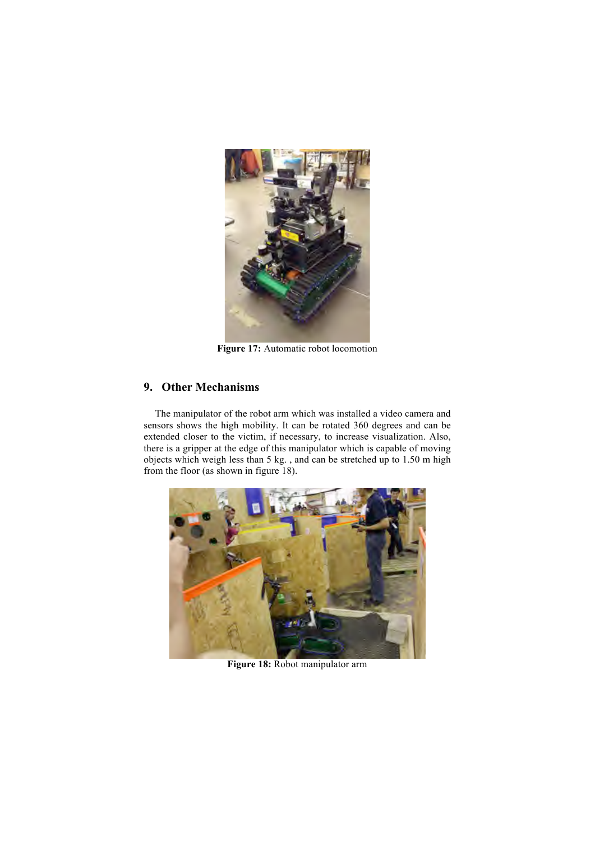

Figure 17: Automatic robot locomotion

#### **9. Other Mechanisms**

The manipulator of the robot arm which was installed a video camera and sensors shows the high mobility. It can be rotated 360 degrees and can be extended closer to the victim, if necessary, to increase visualization. Also, there is a gripper at the edge of this manipulator which is capable of moving objects which weigh less than 5 kg. , and can be stretched up to 1.50 m high from the floor (as shown in figure 18).



**Figure 18:** Robot manipulator arm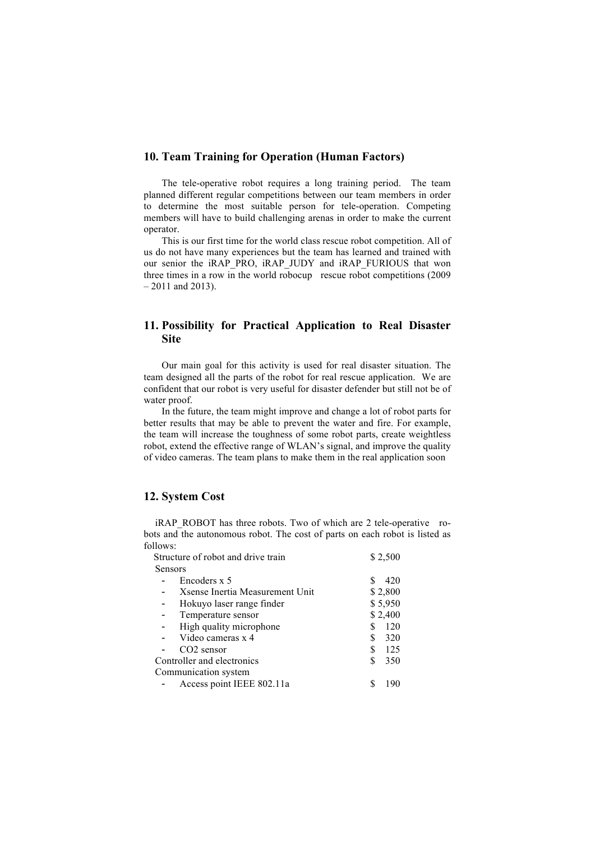#### **10. Team Training for Operation (Human Factors)**

The tele-operative robot requires a long training period. The team planned different regular competitions between our team members in order to determine the most suitable person for tele-operation. Competing members will have to build challenging arenas in order to make the current operator.

This is our first time for the world class rescue robot competition. All of us do not have many experiences but the team has learned and trained with our senior the iRAP\_PRO, iRAP\_JUDY and iRAP\_FURIOUS that won three times in a row in the world robocup rescue robot competitions (2009 – 2011 and 2013).

### **11. Possibility for Practical Application to Real Disaster Site**

Our main goal for this activity is used for real disaster situation. The team designed all the parts of the robot for real rescue application. We are confident that our robot is very useful for disaster defender but still not be of water proof.

In the future, the team might improve and change a lot of robot parts for better results that may be able to prevent the water and fire. For example, the team will increase the toughness of some robot parts, create weightless robot, extend the effective range of WLAN's signal, and improve the quality of video cameras. The team plans to make them in the real application soon

#### **12. System Cost**

iRAP\_ROBOT has three robots. Two of which are 2 tele-operative robots and the autonomous robot. The cost of parts on each robot is listed as follows:

| Structure of robot and drive train | \$2,500  |
|------------------------------------|----------|
| Sensors                            |          |
| Encoders x 5                       | 420      |
| Xsense Inertia Measurement Unit    | \$2,800  |
| Hokuyo laser range finder          | \$5,950  |
| Temperature sensor                 | \$2,400  |
| High quality microphone            | 120      |
| Video cameras x 4                  | 320<br>S |
| $CO2$ sensor                       | S<br>125 |
| Controller and electronics         | 350      |
| Communication system               |          |
| Access point IEEE 802.11a          | 190      |
|                                    |          |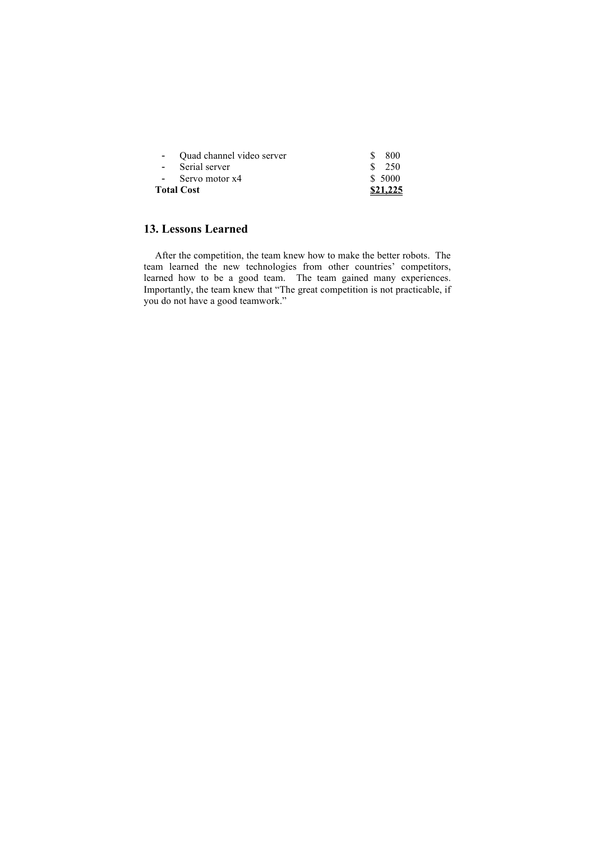| <b>Total Cost</b>           | \$21,225 |
|-----------------------------|----------|
| - Servo motor x4            | \$ 5000  |
| - Serial server             | \$250    |
| - Quad channel video server | 800      |

# **13. Lessons Learned**

After the competition, the team knew how to make the better robots. The team learned the new technologies from other countries' competitors, learned how to be a good team. The team gained many experiences. Importantly, the team knew that "The great competition is not practicable, if you do not have a good teamwork."